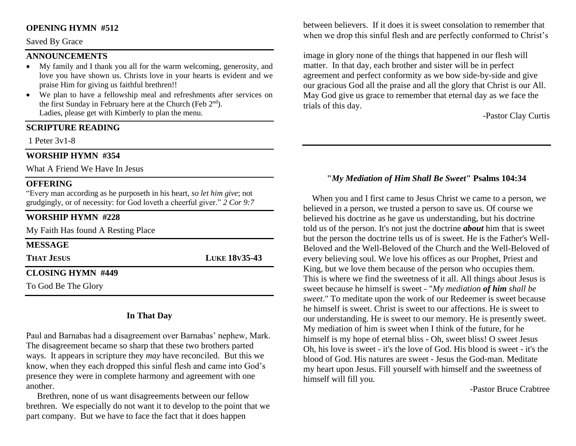## **OPENING HYMN #512**

#### Saved By Grace

## **ANNOUNCEMENTS**

- My family and I thank you all for the warm welcoming, generosity, and love you have shown us. Christs love in your hearts is evident and we praise Him for giving us faithful brethren!!
- We plan to have a fellowship meal and refreshments after services on the first Sunday in February here at the Church (Feb 2<sup>nd</sup>). Ladies, please get with Kimberly to plan the menu.

#### **SCRIPTURE READING**

1 Peter 3v1-8

## **WORSHIP HYMN #354**

What A Friend We Have In Jesus

## **OFFERING**

"Every man according as he purposeth in his heart, *so let him give*; not grudgingly, or of necessity: for God loveth a cheerful giver." *2 Cor 9:7*

## **WORSHIP HYMN #228**

My Faith Has found A Resting Place

| <b>MESSAGE</b>           |                      |
|--------------------------|----------------------|
| <b>THAT JESUS</b>        | <b>LUKE 18V35-43</b> |
| <b>CLOSING HYMN #449</b> |                      |
| To God Be The Glory      |                      |

## **In That Day**

Paul and Barnabas had a disagreement over Barnabas' nephew, Mark. The disagreement became so sharp that these two brothers parted ways. It appears in scripture they *may* have reconciled. But this we know, when they each dropped this sinful flesh and came into God's presence they were in complete harmony and agreement with one another.

 Brethren, none of us want disagreements between our fellow brethren. We especially do not want it to develop to the point that we part company. But we have to face the fact that it does happen

between believers. If it does it is sweet consolation to remember that when we drop this sinful flesh and are perfectly conformed to Christ's

image in glory none of the things that happened in our flesh will matter. In that day, each brother and sister will be in perfect agreement and perfect conformity as we bow side-by-side and give our gracious God all the praise and all the glory that Christ is our All. May God give us grace to remember that eternal day as we face the trials of this day.

-Pastor Clay Curtis

## **"***My Mediation of Him Shall Be Sweet***" Psalms 104:34**

 When you and I first came to Jesus Christ we came to a person, we believed in a person, we trusted a person to save us. Of course we believed his doctrine as he gave us understanding, but his doctrine told us of the person. It's not just the doctrine *about* him that is sweet but the person the doctrine tells us of is sweet. He is the Father's Well-Beloved and the Well-Beloved of the Church and the Well-Beloved of every believing soul. We love his offices as our Prophet, Priest and King, but we love them because of the person who occupies them. This is where we find the sweetness of it all. All things about Jesus is sweet because he himself is sweet - "*My mediation of him shall be sweet*." To meditate upon the work of our Redeemer is sweet because he himself is sweet. Christ is sweet to our affections. He is sweet to our understanding. He is sweet to our memory. He is presently sweet. My mediation of him is sweet when I think of the future, for he himself is my hope of eternal bliss - Oh, sweet bliss! O sweet Jesus Oh, his love is sweet - it's the love of God. His blood is sweet - it's the blood of God. His natures are sweet - Jesus the God-man. Meditate my heart upon Jesus. Fill yourself with himself and the sweetness of himself will fill you.

-Pastor Bruce Crabtree